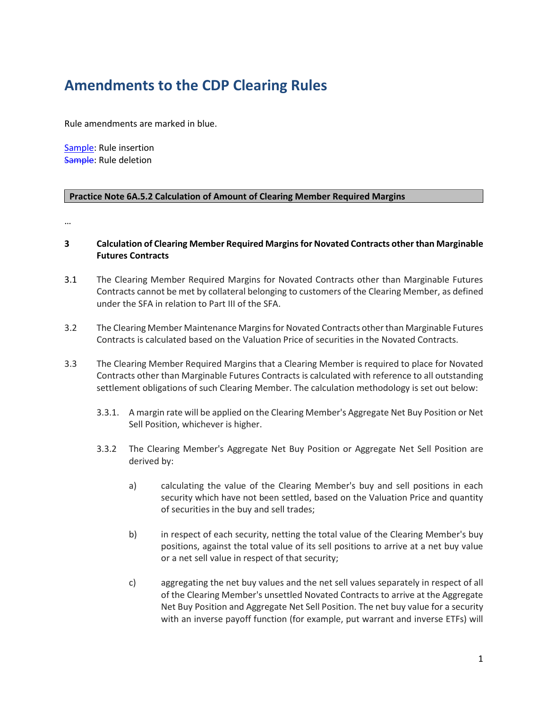## **Amendments to the CDP Clearing Rules**

Rule amendments are marked in blue.

Sample: Rule insertion Sample: Rule deletion

## **Practice Note 6A.5.2 Calculation of Amount of Clearing Member Required Margins**

…

## **3 Calculation of Clearing Member Required Margins for Novated Contracts other than Marginable Futures Contracts**

- 3.1 The Clearing Member Required Margins for Novated Contracts other than Marginable Futures Contracts cannot be met by collateral belonging to customers of the Clearing Member, as defined under the SFA in relation to Part III of the SFA.
- 3.2 The Clearing Member Maintenance Margins for Novated Contracts other than Marginable Futures Contracts is calculated based on the Valuation Price of securities in the Novated Contracts.
- 3.3 The Clearing Member Required Margins that a Clearing Member is required to place for Novated Contracts other than Marginable Futures Contracts is calculated with reference to all outstanding settlement obligations of such Clearing Member. The calculation methodology is set out below:
	- 3.3.1. A margin rate will be applied on the Clearing Member's Aggregate Net Buy Position or Net Sell Position, whichever is higher.
	- 3.3.2 The Clearing Member's Aggregate Net Buy Position or Aggregate Net Sell Position are derived by:
		- a) calculating the value of the Clearing Member's buy and sell positions in each security which have not been settled, based on the Valuation Price and quantity of securities in the buy and sell trades;
		- b) in respect of each security, netting the total value of the Clearing Member's buy positions, against the total value of its sell positions to arrive at a net buy value or a net sell value in respect of that security;
		- c) aggregating the net buy values and the net sell values separately in respect of all of the Clearing Member's unsettled Novated Contracts to arrive at the Aggregate Net Buy Position and Aggregate Net Sell Position. The net buy value for a security with an inverse payoff function (for example, put warrant and inverse ETFs) will